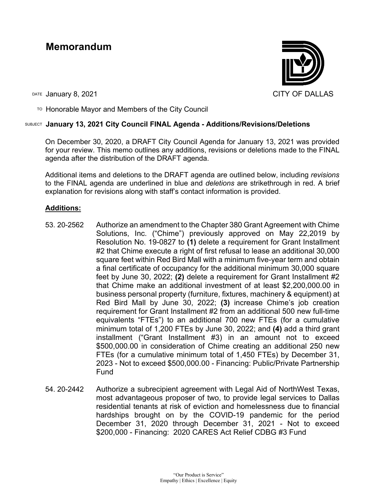# **Memorandum**



DATE January 8, 2021 CITY OF DALLAS

TO Honorable Mayor and Members of the City Council

# SUBJECT **January 13, 2021 City Council FINAL Agenda - Additions/Revisions/Deletions**

On December 30, 2020, a DRAFT City Council Agenda for January 13, 2021 was provided for your review. This memo outlines any additions, revisions or deletions made to the FINAL agenda after the distribution of the DRAFT agenda.

Additional items and deletions to the DRAFT agenda are outlined below, including *revisions* to the FINAL agenda are underlined in blue and *deletions* are strikethrough in red. A brief explanation for revisions along with staff's contact information is provided.

# **Additions:**

- 53. 20-2562 Authorize an amendment to the Chapter 380 Grant Agreement with Chime Solutions, Inc. ("Chime") previously approved on May 22,2019 by Resolution No. 19-0827 to **(1)** delete a requirement for Grant Installment #2 that Chime execute a right of first refusal to lease an additional 30,000 square feet within Red Bird Mall with a minimum five-year term and obtain a final certificate of occupancy for the additional minimum 30,000 square feet by June 30, 2022; **(2)** delete a requirement for Grant Installment #2 that Chime make an additional investment of at least \$2,200,000.00 in business personal property (furniture, fixtures, machinery & equipment) at Red Bird Mall by June 30, 2022; **(3)** increase Chime's job creation requirement for Grant Installment #2 from an additional 500 new full-time equivalents "FTEs") to an additional 700 new FTEs (for a cumulative minimum total of 1,200 FTEs by June 30, 2022; and **(4)** add a third grant installment ("Grant Installment #3) in an amount not to exceed \$500,000.00 in consideration of Chime creating an additional 250 new FTEs (for a cumulative minimum total of 1,450 FTEs) by December 31, 2023 - Not to exceed \$500,000.00 - Financing: Public/Private Partnership Fund
- 54. 20-2442 Authorize a subrecipient agreement with Legal Aid of NorthWest Texas, most advantageous proposer of two, to provide legal services to Dallas residential tenants at risk of eviction and homelessness due to financial hardships brought on by the COVID-19 pandemic for the period December 31, 2020 through December 31, 2021 - Not to exceed \$200,000 - Financing: 2020 CARES Act Relief CDBG #3 Fund